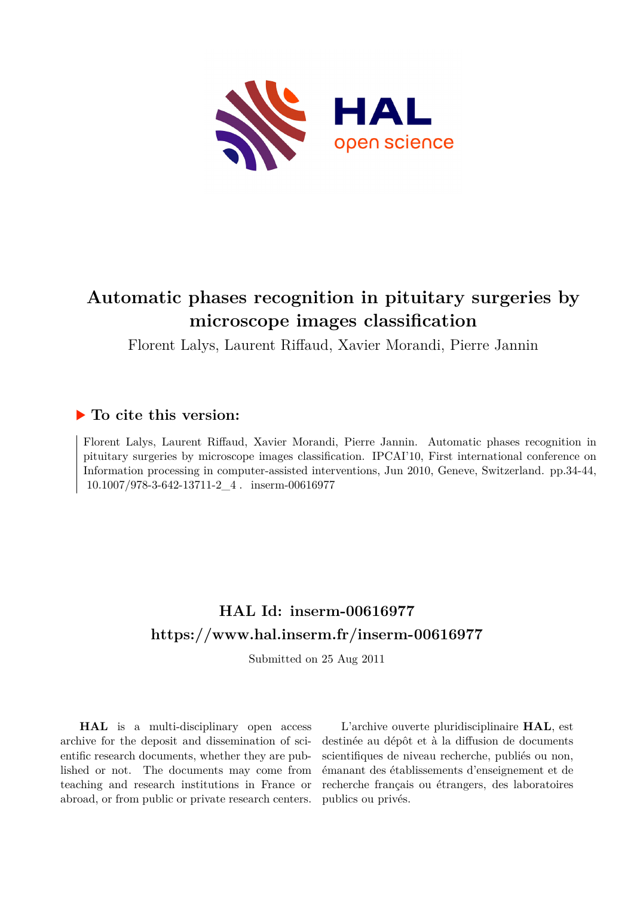

# **Automatic phases recognition in pituitary surgeries by microscope images classification**

Florent Lalys, Laurent Riffaud, Xavier Morandi, Pierre Jannin

# **To cite this version:**

Florent Lalys, Laurent Riffaud, Xavier Morandi, Pierre Jannin. Automatic phases recognition in pituitary surgeries by microscope images classification. IPCAI'10, First international conference on Information processing in computer-assisted interventions, Jun 2010, Geneve, Switzerland. pp.34-44, 10.1007/978-3-642-13711-2 4. inserm-00616977

# **HAL Id: inserm-00616977 <https://www.hal.inserm.fr/inserm-00616977>**

Submitted on 25 Aug 2011

**HAL** is a multi-disciplinary open access archive for the deposit and dissemination of scientific research documents, whether they are published or not. The documents may come from teaching and research institutions in France or abroad, or from public or private research centers.

L'archive ouverte pluridisciplinaire **HAL**, est destinée au dépôt et à la diffusion de documents scientifiques de niveau recherche, publiés ou non, émanant des établissements d'enseignement et de recherche français ou étrangers, des laboratoires publics ou privés.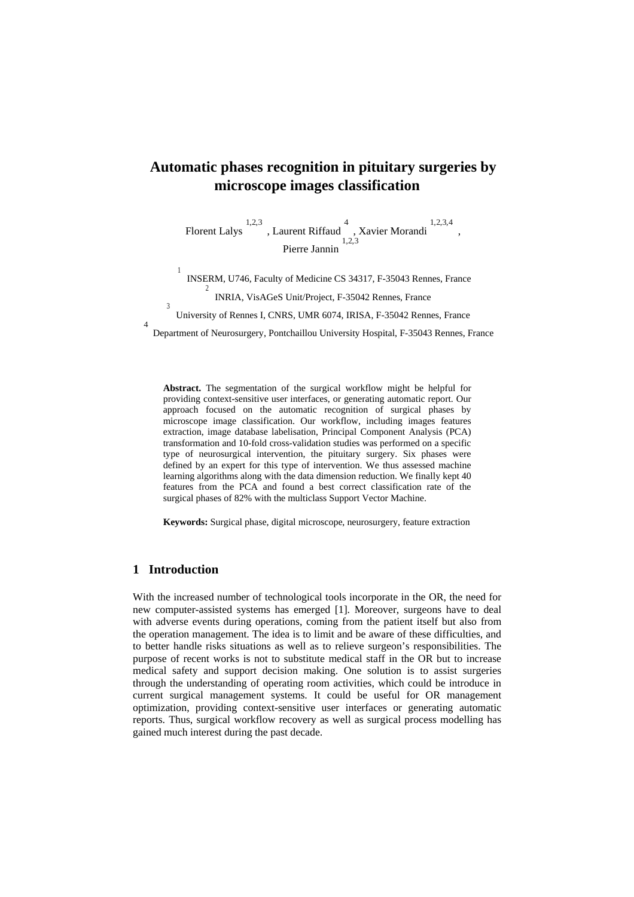# **Automatic phases recognition in pituitary surgeries by microscope images classification**

Florent Lalys 1,2,3 , Laurent Riffaud 4 , Xavier Morandi 1,2,3,4 , Pierre Jannin 1,2,3

INSERM, U746, Faculty of Medicine CS 34317, F-35043 Rennes, France

INRIA, VisAGeS Unit/Project, F-35042 Rennes, France

University of Rennes I, CNRS, UMR 6074, IRISA, F-35042 Rennes, France

Department of Neurosurgery, Pontchaillou University Hospital, F-35043 Rennes, France

**Abstract.** The segmentation of the surgical workflow might be helpful for providing context-sensitive user interfaces, or generating automatic report. Our approach focused on the automatic recognition of surgical phases by microscope image classification. Our workflow, including images features extraction, image database labelisation, Principal Component Analysis (PCA) transformation and 10-fold cross-validation studies was performed on a specific type of neurosurgical intervention, the pituitary surgery. Six phases were defined by an expert for this type of intervention. We thus assessed machine learning algorithms along with the data dimension reduction. We finally kept 40 features from the PCA and found a best correct classification rate of the surgical phases of 82% with the multiclass Support Vector Machine.

**Keywords:** Surgical phase, digital microscope, neurosurgery, feature extraction

# **1 Introduction**

1

3

4

2

With the increased number of technological tools incorporate in the OR, the need for new computer-assisted systems has emerged [1]. Moreover, surgeons have to deal with adverse events during operations, coming from the patient itself but also from the operation management. The idea is to limit and be aware of these difficulties, and to better handle risks situations as well as to relieve surgeon's responsibilities. The purpose of recent works is not to substitute medical staff in the OR but to increase medical safety and support decision making. One solution is to assist surgeries through the understanding of operating room activities, which could be introduce in current surgical management systems. It could be useful for OR management optimization, providing context-sensitive user interfaces or generating automatic reports. Thus, surgical workflow recovery as well as surgical process modelling has gained much interest during the past decade.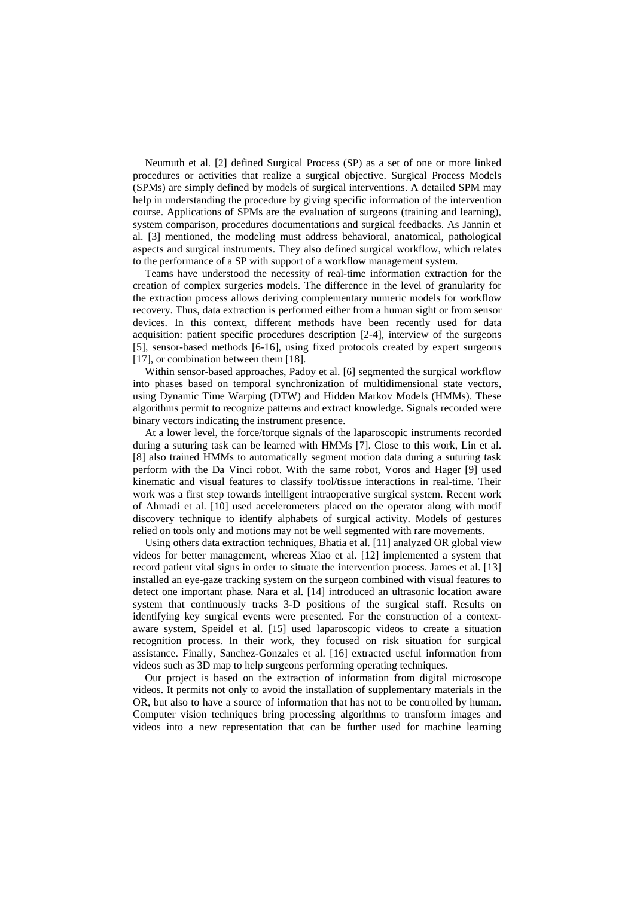Neumuth et al. [2] defined Surgical Process (SP) as a set of one or more linked procedures or activities that realize a surgical objective. Surgical Process Models (SPMs) are simply defined by models of surgical interventions. A detailed SPM may help in understanding the procedure by giving specific information of the intervention course. Applications of SPMs are the evaluation of surgeons (training and learning), system comparison, procedures documentations and surgical feedbacks. As Jannin et al. [3] mentioned, the modeling must address behavioral, anatomical, pathological aspects and surgical instruments. They also defined surgical workflow, which relates to the performance of a SP with support of a workflow management system.

Teams have understood the necessity of real-time information extraction for the creation of complex surgeries models. The difference in the level of granularity for the extraction process allows deriving complementary numeric models for workflow recovery. Thus, data extraction is performed either from a human sight or from sensor devices. In this context, different methods have been recently used for data acquisition: patient specific procedures description [2-4], interview of the surgeons [5], sensor-based methods [6-16], using fixed protocols created by expert surgeons [17], or combination between them [18].

Within sensor-based approaches, Padoy et al. [6] segmented the surgical workflow into phases based on temporal synchronization of multidimensional state vectors, using Dynamic Time Warping (DTW) and Hidden Markov Models (HMMs). These algorithms permit to recognize patterns and extract knowledge. Signals recorded were binary vectors indicating the instrument presence.

At a lower level, the force/torque signals of the laparoscopic instruments recorded during a suturing task can be learned with HMMs [7]. Close to this work, Lin et al. [8] also trained HMMs to automatically segment motion data during a suturing task perform with the Da Vinci robot. With the same robot, Voros and Hager [9] used kinematic and visual features to classify tool/tissue interactions in real-time. Their work was a first step towards intelligent intraoperative surgical system. Recent work of Ahmadi et al. [10] used accelerometers placed on the operator along with motif discovery technique to identify alphabets of surgical activity. Models of gestures relied on tools only and motions may not be well segmented with rare movements.

Using others data extraction techniques, Bhatia et al. [11] analyzed OR global view videos for better management, whereas Xiao et al. [12] implemented a system that record patient vital signs in order to situate the intervention process. James et al. [13] installed an eye-gaze tracking system on the surgeon combined with visual features to detect one important phase. Nara et al. [14] introduced an ultrasonic location aware system that continuously tracks 3-D positions of the surgical staff. Results on identifying key surgical events were presented. For the construction of a contextaware system, Speidel et al. [15] used laparoscopic videos to create a situation recognition process. In their work, they focused on risk situation for surgical assistance. Finally, Sanchez-Gonzales et al. [16] extracted useful information from videos such as 3D map to help surgeons performing operating techniques.

Our project is based on the extraction of information from digital microscope videos. It permits not only to avoid the installation of supplementary materials in the OR, but also to have a source of information that has not to be controlled by human. Computer vision techniques bring processing algorithms to transform images and videos into a new representation that can be further used for machine learning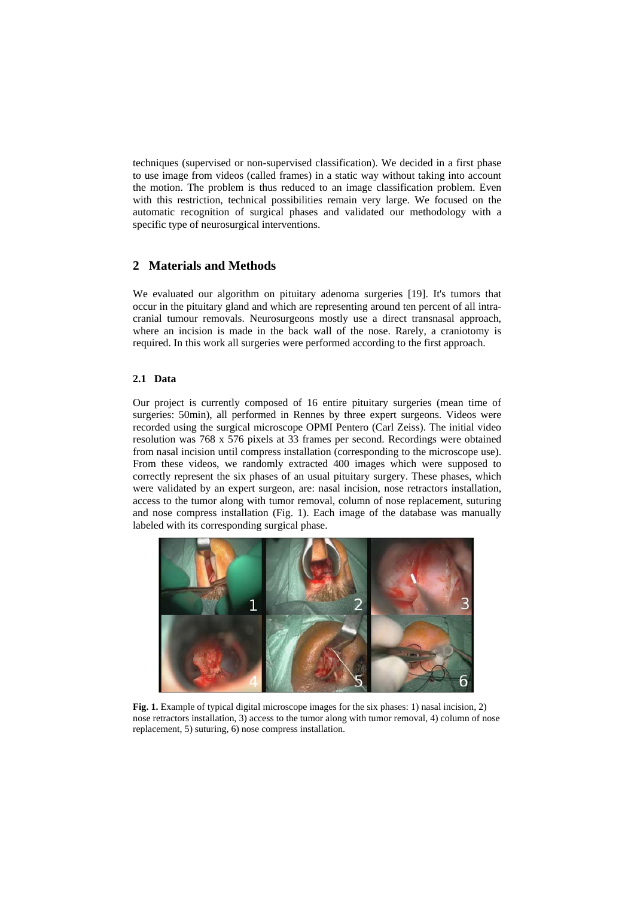techniques (supervised or non-supervised classification). We decided in a first phase to use image from videos (called frames) in a static way without taking into account the motion. The problem is thus reduced to an image classification problem. Even with this restriction, technical possibilities remain very large. We focused on the automatic recognition of surgical phases and validated our methodology with a specific type of neurosurgical interventions.

# **2 Materials and Methods**

We evaluated our algorithm on pituitary adenoma surgeries [19]. It's tumors that occur in the pituitary gland and which are representing around ten percent of all intracranial tumour removals. Neurosurgeons mostly use a direct transnasal approach, where an incision is made in the back wall of the nose. Rarely, a craniotomy is required. In this work all surgeries were performed according to the first approach.

### **2.1 Data**

Our project is currently composed of 16 entire pituitary surgeries (mean time of surgeries: 50min), all performed in Rennes by three expert surgeons. Videos were recorded using the surgical microscope OPMI Pentero (Carl Zeiss). The initial video resolution was 768 x 576 pixels at 33 frames per second. Recordings were obtained from nasal incision until compress installation (corresponding to the microscope use). From these videos, we randomly extracted 400 images which were supposed to correctly represent the six phases of an usual pituitary surgery. These phases, which were validated by an expert surgeon, are: nasal incision, nose retractors installation, access to the tumor along with tumor removal, column of nose replacement, suturing and nose compress installation (Fig. 1). Each image of the database was manually labeled with its corresponding surgical phase.



**Fig. 1.** Example of typical digital microscope images for the six phases: 1) nasal incision, 2) nose retractors installation, 3) access to the tumor along with tumor removal, 4) column of nose replacement, 5) suturing, 6) nose compress installation.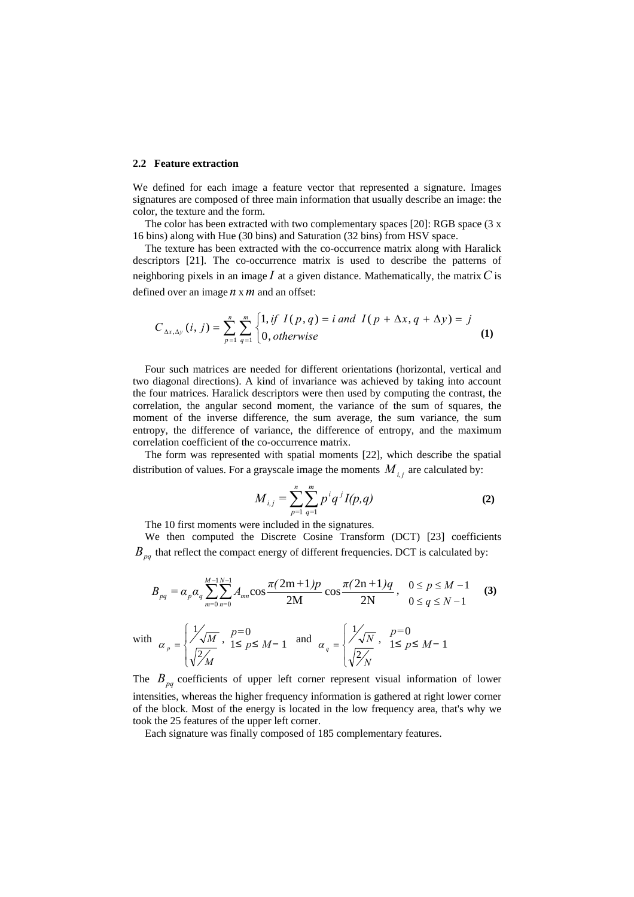#### **2.2 Feature extraction**

We defined for each image a feature vector that represented a signature. Images signatures are composed of three main information that usually describe an image: the color, the texture and the form.

The color has been extracted with two complementary spaces [20]: RGB space (3 x 16 bins) along with Hue (30 bins) and Saturation (32 bins) from HSV space.

The texture has been extracted with the co-occurrence matrix along with Haralick descriptors [21]. The co-occurrence matrix is used to describe the patterns of neighboring pixels in an image  $I$  at a given distance. Mathematically, the matrix  $C$  is defined over an image  $n \times m$  and an offset:

$$
C_{\Delta x, \Delta y}(i, j) = \sum_{p=1}^{n} \sum_{q=1}^{m} \begin{cases} 1, if \ I(p, q) = i \ and \ I(p + \Delta x, q + \Delta y) = j \\ 0, otherwise \end{cases}
$$
 (1)

Four such matrices are needed for different orientations (horizontal, vertical and two diagonal directions). A kind of invariance was achieved by taking into account the four matrices. Haralick descriptors were then used by computing the contrast, the correlation, the angular second moment, the variance of the sum of squares, the moment of the inverse difference, the sum average, the sum variance, the sum entropy, the difference of variance, the difference of entropy, and the maximum correlation coefficient of the co-occurrence matrix.

The form was represented with spatial moments [22], which describe the spatial distribution of values. For a grayscale image the moments  $M_{i,i}$  are calculated by:

$$
M_{i,j} = \sum_{p=1}^{n} \sum_{q=1}^{m} p^{i} q^{j} I(p,q)
$$
 (2)

The 10 first moments were included in the signatures.

We then computed the Discrete Cosine Transform (DCT) [23] coefficients  $B_{pa}$  that reflect the compact energy of different frequencies. DCT is calculated by:

$$
B_{pq} = \alpha_p \alpha_q \sum_{m=0}^{M-1} \sum_{n=0}^{N-1} A_{mn} \cos \frac{\pi (2m+1)p}{2M} \cos \frac{\pi (2n+1)q}{2N}, \quad 0 \le p \le M-1 \tag{3}
$$

with 
$$
\alpha_p = \begin{cases} \frac{1}{\sqrt{M}}, & p=0 \\ \sqrt{\frac{2}{M}} & 1 \leq p \leq M-1 \end{cases}
$$
 and  $\alpha_q = \begin{cases} \frac{1}{\sqrt{N}}, & p=0 \\ \sqrt{\frac{2}{N}} & 1 \leq p \leq M-1 \end{cases}$ 

The  $B_{pq}$  coefficients of upper left corner represent visual information of lower intensities, whereas the higher frequency information is gathered at right lower corner of the block. Most of the energy is located in the low frequency area, that's why we took the 25 features of the upper left corner.

Each signature was finally composed of 185 complementary features.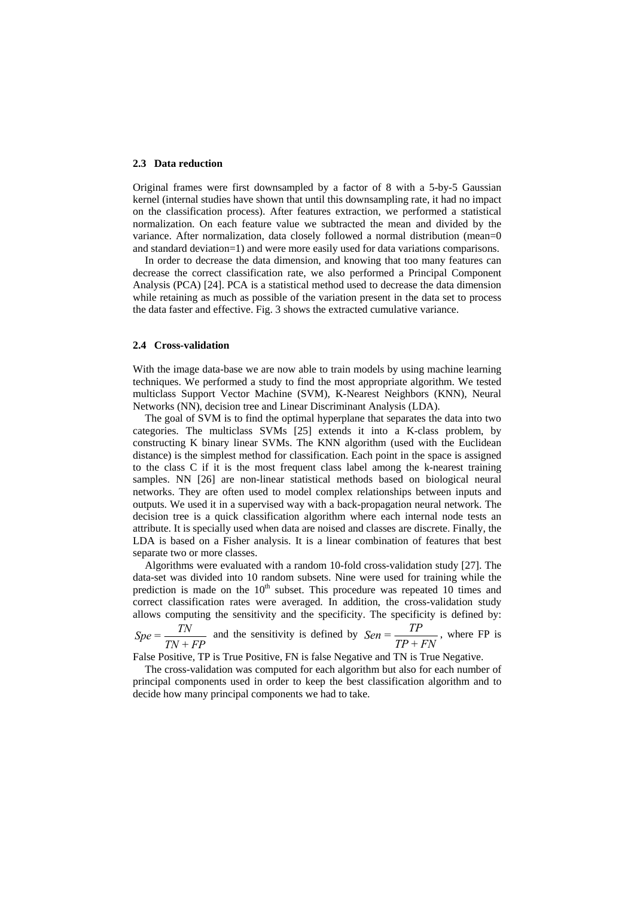## **2.3 Data reduction**

Original frames were first downsampled by a factor of 8 with a 5-by-5 Gaussian kernel (internal studies have shown that until this downsampling rate, it had no impact on the classification process). After features extraction, we performed a statistical normalization. On each feature value we subtracted the mean and divided by the variance. After normalization, data closely followed a normal distribution (mean=0 and standard deviation=1) and were more easily used for data variations comparisons.

In order to decrease the data dimension, and knowing that too many features can decrease the correct classification rate, we also performed a Principal Component Analysis (PCA) [24]. PCA is a statistical method used to decrease the data dimension while retaining as much as possible of the variation present in the data set to process the data faster and effective. Fig. 3 shows the extracted cumulative variance.

#### **2.4 Cross-validation**

With the image data-base we are now able to train models by using machine learning techniques. We performed a study to find the most appropriate algorithm. We tested multiclass Support Vector Machine (SVM), K-Nearest Neighbors (KNN), Neural Networks (NN), decision tree and Linear Discriminant Analysis (LDA).

The goal of SVM is to find the optimal hyperplane that separates the data into two categories. The multiclass SVMs [25] extends it into a K-class problem, by constructing K binary linear SVMs. The KNN algorithm (used with the Euclidean distance) is the simplest method for classification. Each point in the space is assigned to the class C if it is the most frequent class label among the k-nearest training samples. NN [26] are non-linear statistical methods based on biological neural networks. They are often used to model complex relationships between inputs and outputs. We used it in a supervised way with a back-propagation neural network. The decision tree is a quick classification algorithm where each internal node tests an attribute. It is specially used when data are noised and classes are discrete. Finally, the LDA is based on a Fisher analysis. It is a linear combination of features that best separate two or more classes.

Algorithms were evaluated with a random 10-fold cross-validation study [27]. The data-set was divided into 10 random subsets. Nine were used for training while the prediction is made on the  $10<sup>th</sup>$  subset. This procedure was repeated 10 times and correct classification rates were averaged. In addition, the cross-validation study allows computing the sensitivity and the specificity. The specificity is defined by: *TN + FP*  $Spe = \frac{TN}{\sqrt{TN}}$  and the sensitivity is defined by *TP+ FN*  $Sen = \frac{TP}{TP}$ , where FP is

False Positive, TP is True Positive, FN is false Negative and TN is True Negative.

The cross-validation was computed for each algorithm but also for each number of principal components used in order to keep the best classification algorithm and to decide how many principal components we had to take.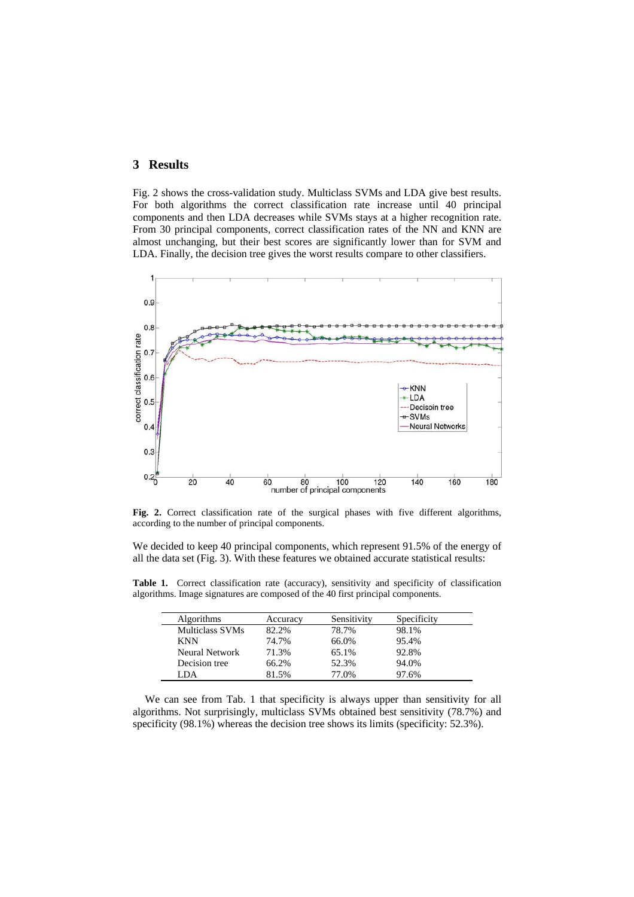# **3 Results**

Fig. 2 shows the cross-validation study. Multiclass SVMs and LDA give best results. For both algorithms the correct classification rate increase until 40 principal components and then LDA decreases while SVMs stays at a higher recognition rate. From 30 principal components, correct classification rates of the NN and KNN are almost unchanging, but their best scores are significantly lower than for SVM and LDA. Finally, the decision tree gives the worst results compare to other classifiers.



**Fig. 2.** Correct classification rate of the surgical phases with five different algorithms, according to the number of principal components.

We decided to keep 40 principal components, which represent 91.5% of the energy of all the data set (Fig. 3). With these features we obtained accurate statistical results:

**Table 1.** Correct classification rate (accuracy), sensitivity and specificity of classification algorithms. Image signatures are composed of the 40 first principal components.

| Algorithms      | Accuracy | Sensitivity | Specificity |
|-----------------|----------|-------------|-------------|
| Multiclass SVMs | 82.2%    | 78.7%       | 98.1%       |
| <b>KNN</b>      | 74.7%    | 66.0%       | 95.4%       |
| Neural Network  | 71.3%    | 65.1%       | 92.8%       |
| Decision tree   | 66.2%    | 52.3%       | 94.0%       |
| LDA             | 81.5%    | 77.0%       | 97.6%       |

We can see from Tab. 1 that specificity is always upper than sensitivity for all algorithms. Not surprisingly, multiclass SVMs obtained best sensitivity (78.7%) and specificity (98.1%) whereas the decision tree shows its limits (specificity: 52.3%).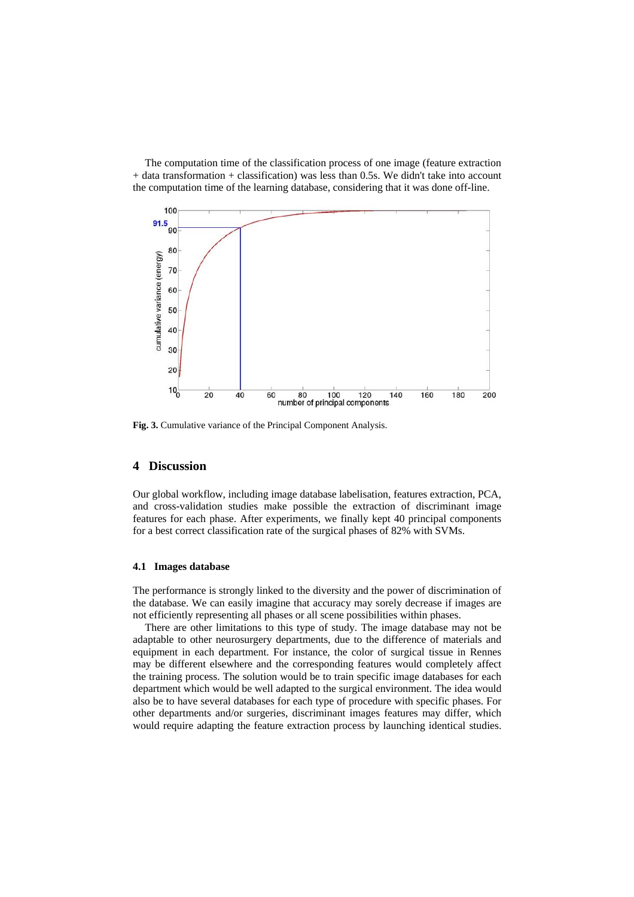The computation time of the classification process of one image (feature extraction  $+$  data transformation  $+$  classification) was less than 0.5s. We didn't take into account the computation time of the learning database, considering that it was done off-line.



**Fig. 3.** Cumulative variance of the Principal Component Analysis.

## **4 Discussion**

Our global workflow, including image database labelisation, features extraction, PCA, and cross-validation studies make possible the extraction of discriminant image features for each phase. After experiments, we finally kept 40 principal components for a best correct classification rate of the surgical phases of 82% with SVMs.

#### **4.1 Images database**

The performance is strongly linked to the diversity and the power of discrimination of the database. We can easily imagine that accuracy may sorely decrease if images are not efficiently representing all phases or all scene possibilities within phases.

There are other limitations to this type of study. The image database may not be adaptable to other neurosurgery departments, due to the difference of materials and equipment in each department. For instance, the color of surgical tissue in Rennes may be different elsewhere and the corresponding features would completely affect the training process. The solution would be to train specific image databases for each department which would be well adapted to the surgical environment. The idea would also be to have several databases for each type of procedure with specific phases. For other departments and/or surgeries, discriminant images features may differ, which would require adapting the feature extraction process by launching identical studies.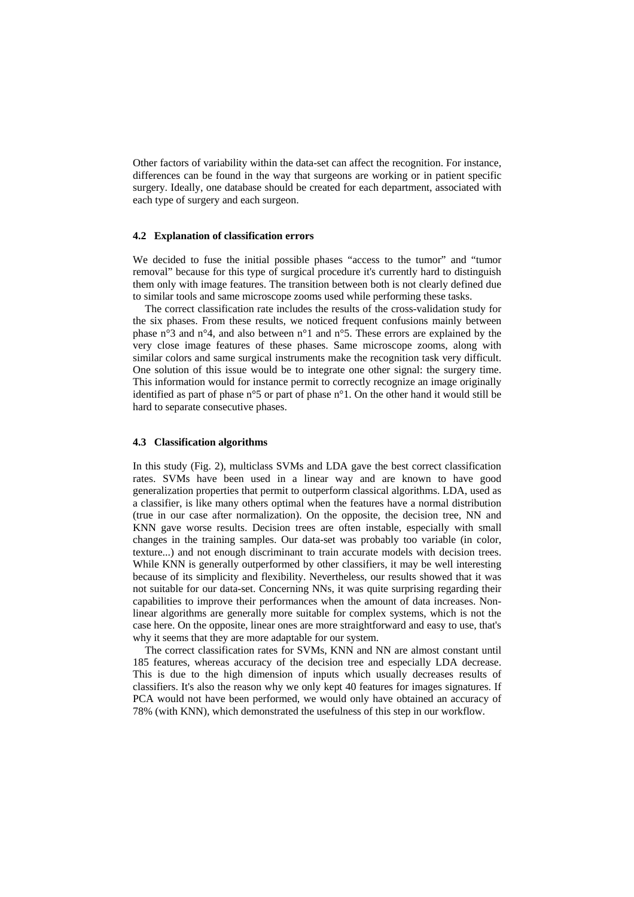Other factors of variability within the data-set can affect the recognition. For instance, differences can be found in the way that surgeons are working or in patient specific surgery. Ideally, one database should be created for each department, associated with each type of surgery and each surgeon.

#### **4.2 Explanation of classification errors**

We decided to fuse the initial possible phases "access to the tumor" and "tumor removal" because for this type of surgical procedure it's currently hard to distinguish them only with image features. The transition between both is not clearly defined due to similar tools and same microscope zooms used while performing these tasks.

The correct classification rate includes the results of the cross-validation study for the six phases. From these results, we noticed frequent confusions mainly between phase n°3 and n°4, and also between n°1 and n°5. These errors are explained by the very close image features of these phases. Same microscope zooms, along with similar colors and same surgical instruments make the recognition task very difficult. One solution of this issue would be to integrate one other signal: the surgery time. This information would for instance permit to correctly recognize an image originally identified as part of phase n°5 or part of phase n°1. On the other hand it would still be hard to separate consecutive phases.

#### **4.3 Classification algorithms**

In this study (Fig. 2), multiclass SVMs and LDA gave the best correct classification rates. SVMs have been used in a linear way and are known to have good generalization properties that permit to outperform classical algorithms. LDA, used as a classifier, is like many others optimal when the features have a normal distribution (true in our case after normalization). On the opposite, the decision tree, NN and KNN gave worse results. Decision trees are often instable, especially with small changes in the training samples. Our data-set was probably too variable (in color, texture...) and not enough discriminant to train accurate models with decision trees. While KNN is generally outperformed by other classifiers, it may be well interesting because of its simplicity and flexibility. Nevertheless, our results showed that it was not suitable for our data-set. Concerning NNs, it was quite surprising regarding their capabilities to improve their performances when the amount of data increases. Nonlinear algorithms are generally more suitable for complex systems, which is not the case here. On the opposite, linear ones are more straightforward and easy to use, that's why it seems that they are more adaptable for our system.

The correct classification rates for SVMs, KNN and NN are almost constant until 185 features, whereas accuracy of the decision tree and especially LDA decrease. This is due to the high dimension of inputs which usually decreases results of classifiers. It's also the reason why we only kept 40 features for images signatures. If PCA would not have been performed, we would only have obtained an accuracy of 78% (with KNN), which demonstrated the usefulness of this step in our workflow.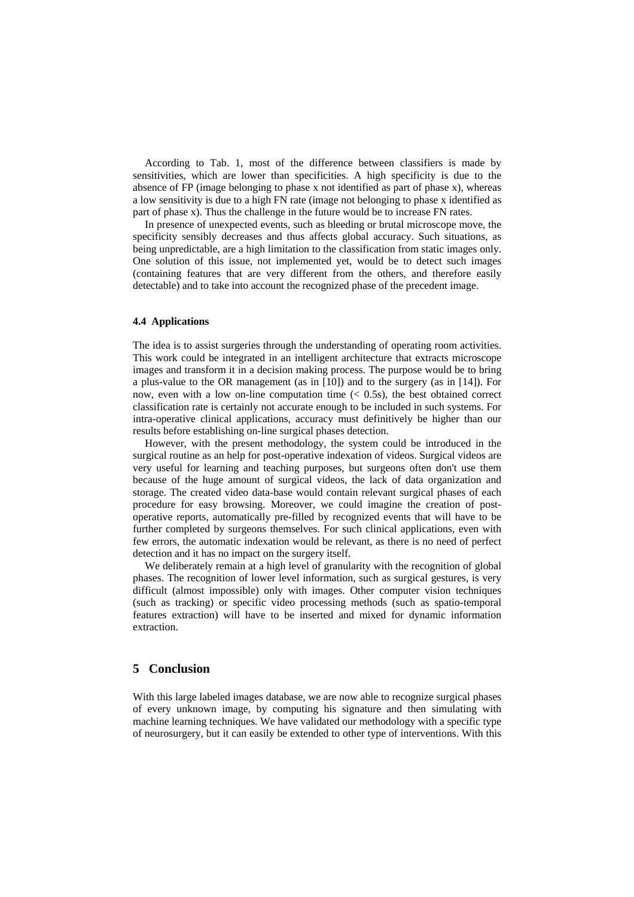According to Tab. 1, most of the difference between classifiers is made by sensitivities, which are lower than specificities. A high specificity is due to the absence of FP (image belonging to phase x not identified as part of phase x), whereas a low sensitivity is due to a high FN rate (image not belonging to phase x identified as part of phase x). Thus the challenge in the future would be to increase FN rates.

In presence of unexpected events, such as bleeding or brutal microscope move, the specificity sensibly decreases and thus affects global accuracy. Such situations, as being unpredictable, are a high limitation to the classification from static images only. One solution of this issue, not implemented yet, would be to detect such images (containing features that are very different from the others, and therefore easily detectable) and to take into account the recognized phase of the precedent image.

### **4.4 Applications**

The idea is to assist surgeries through the understanding of operating room activities. This work could be integrated in an intelligent architecture that extracts microscope images and transform it in a decision making process. The purpose would be to bring a plus-value to the OR management (as in [10]) and to the surgery (as in [14]). For now, even with a low on-line computation time  $( $0.5$ s), the best obtained correct$ classification rate is certainly not accurate enough to be included in such systems. For intra-operative clinical applications, accuracy must definitively be higher than our results before establishing on-line surgical phases detection.

However, with the present methodology, the system could be introduced in the surgical routine as an help for post-operative indexation of videos. Surgical videos are very useful for learning and teaching purposes, but surgeons often don't use them because of the huge amount of surgical videos, the lack of data organization and storage. The created video data-base would contain relevant surgical phases of each procedure for easy browsing. Moreover, we could imagine the creation of postoperative reports, automatically pre-filled by recognized events that will have to be further completed by surgeons themselves. For such clinical applications, even with few errors, the automatic indexation would be relevant, as there is no need of perfect detection and it has no impact on the surgery itself.

We deliberately remain at a high level of granularity with the recognition of global phases. The recognition of lower level information, such as surgical gestures, is very difficult (almost impossible) only with images. Other computer vision techniques (such as tracking) or specific video processing methods (such as spatio-temporal features extraction) will have to be inserted and mixed for dynamic information extraction.

#### **5 Conclusion**

With this large labeled images database, we are now able to recognize surgical phases of every unknown image, by computing his signature and then simulating with machine learning techniques. We have validated our methodology with a specific type of neurosurgery, but it can easily be extended to other type of interventions. With this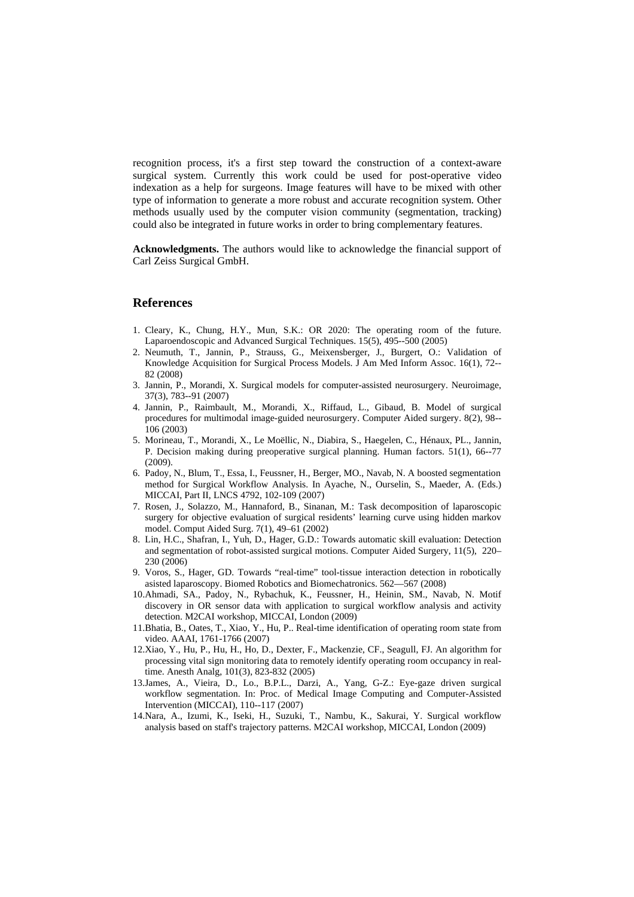recognition process, it's a first step toward the construction of a context-aware surgical system. Currently this work could be used for post-operative video indexation as a help for surgeons. Image features will have to be mixed with other type of information to generate a more robust and accurate recognition system. Other methods usually used by the computer vision community (segmentation, tracking) could also be integrated in future works in order to bring complementary features.

**Acknowledgments.** The authors would like to acknowledge the financial support of Carl Zeiss Surgical GmbH.

## **References**

- 1. Cleary, K., Chung, H.Y., Mun, S.K.: OR 2020: The operating room of the future. Laparoendoscopic and Advanced Surgical Techniques. 15(5), 495--500 (2005)
- 2. Neumuth, T., Jannin, P., Strauss, G., Meixensberger, J., Burgert, O.: Validation of Knowledge Acquisition for Surgical Process Models. J Am Med Inform Assoc. 16(1), 72-- 82 (2008)
- 3. Jannin, P., Morandi, X. Surgical models for computer-assisted neurosurgery. Neuroimage, 37(3), 783--91 (2007)
- 4. Jannin, P., Raimbault, M., Morandi, X., Riffaud, L., Gibaud, B. Model of surgical procedures for multimodal image-guided neurosurgery. Computer Aided surgery. 8(2), 98-- 106 (2003)
- 5. Morineau, T., Morandi, X., Le Moëllic, N., Diabira, S., Haegelen, C., Hénaux, PL., Jannin, P. Decision making during preoperative surgical planning. Human factors. 51(1), 66--77 (2009).
- 6. Padoy, N., Blum, T., Essa, I., Feussner, H., Berger, MO., Navab, N. A boosted segmentation method for Surgical Workflow Analysis. In Ayache, N., Ourselin, S., Maeder, A. (Eds.) MICCAI, Part II, LNCS 4792, 102-109 (2007)
- 7. Rosen, J., Solazzo, M., Hannaford, B., Sinanan, M.: Task decomposition of laparoscopic surgery for objective evaluation of surgical residents' learning curve using hidden markov model. Comput Aided Surg. 7(1), 49–61 (2002)
- 8. Lin, H.C., Shafran, I., Yuh, D., Hager, G.D.: Towards automatic skill evaluation: Detection and segmentation of robot-assisted surgical motions. Computer Aided Surgery, 11(5), 220– 230 (2006)
- 9. Voros, S., Hager, GD. Towards "real-time" tool-tissue interaction detection in robotically asisted laparoscopy. Biomed Robotics and Biomechatronics. 562—567 (2008)
- 10. Ahmadi, SA., Padoy, N., Rybachuk, K., Feussner, H., Heinin, SM., Navab, N. Motif discovery in OR sensor data with application to surgical workflow analysis and activity detection. M2CAI workshop, MICCAI, London (2009)
- 11.Bhatia, B., Oates, T., Xiao, Y., Hu, P.. Real-time identification of operating room state from video. AAAI, 1761-1766 (2007)
- 12.Xiao, Y., Hu, P., Hu, H., Ho, D., Dexter, F., Mackenzie, CF., Seagull, FJ. An algorithm for processing vital sign monitoring data to remotely identify operating room occupancy in realtime. Anesth Analg, 101(3), 823-832 (2005)
- 13.James, A., Vieira, D., Lo., B.P.L., Darzi, A., Yang, G-Z.: Eye-gaze driven surgical workflow segmentation. In: Proc. of Medical Image Computing and Computer-Assisted Intervention (MICCAI), 110--117 (2007)
- 14.Nara, A., Izumi, K., Iseki, H., Suzuki, T., Nambu, K., Sakurai, Y. Surgical workflow analysis based on staff's trajectory patterns. M2CAI workshop, MICCAI, London (2009)